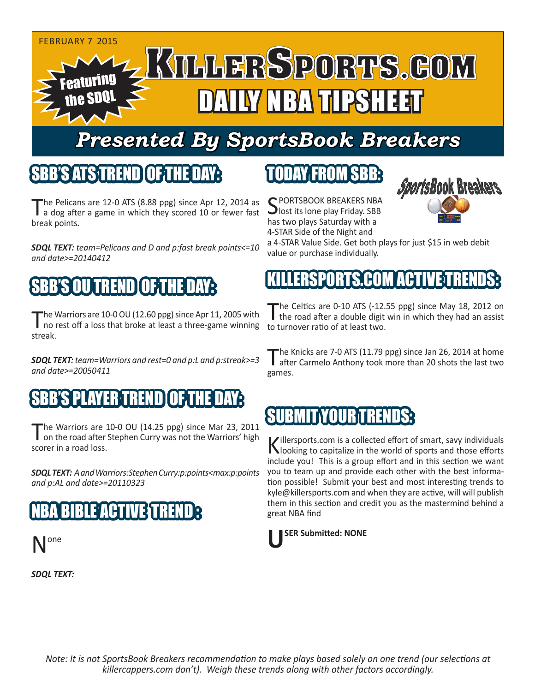

# *Presented By SportsBook Breakers*

## SBB'S ATS TREND OF THE DAY:

The Pelicans are 12-0 ATS (8.88 ppg) since Apr 12, 2014 as<br>a dog after a game in which they scored 10 or fewer fast break points.

*SDQL TEXT: team=Pelicans and D and p:fast break points<=10 and date>=20140412*

# SBB'S OU TREND OF THE DAY:

The Warriors are 10-0 OU (12.60 ppg) since Apr 11, 2005 with the road after a double digit<br>no rest off a loss that broke at least a three-game winning to turnover ratio of at least two. streak.

*SDQL TEXT: team=Warriors and rest=0 and p:L and p:streak>=3 and date>=20050411*

## SBB'S PLAYER TREND OF THE DAY:

The Warriors are 10-0 OU (14.25 ppg) since Mar 23, 2011<br>
on the road after Stephen Curry was not the Warriors' high scorer in a road loss.

*SDQL TEXT: A and Warriors:Stephen Curry:p:points<max:p:points and p:AL and date>=20110323*

# 3 V H I



*SDQL TEXT:* 

# TODAY FROM SBB:

C PORTSBOOK BREAKERS NBA **J** lost its lone play Friday. SBB has two plays Saturday with a 4-STAR Side of the Night and



a 4-STAR Value Side. Get both plays for just \$15 in web debit value or purchase individually.

# RTS COM ACT

The Celtics are 0-10 ATS (-12.55 ppg) since May 18, 2012 on<br>the road after a double digit win in which they had an assist

The Knicks are 7-0 ATS (11.79 ppg) since Jan 26, 2014 at home<br>after Carmelo Anthony took more than 20 shots the last two games.

## SUBMIT YOUR TRENDS:

Killersports.com is a collected effort of smart, savy individuals  $\mathbf N$ looking to capitalize in the world of sports and those efforts include you! This is a group effort and in this section we want you to team up and provide each other with the best information possible! Submit your best and most interesting trends to kyle@killersports.com and when they are active, will will publish them in this section and credit you as the mastermind behind a great NBA find

#### **USER Submitted: NONE**

*Note: It is not SportsBook Breakers recommendation to make plays based solely on one trend (our selections at killercappers.com don't). Weigh these trends along with other factors accordingly.*